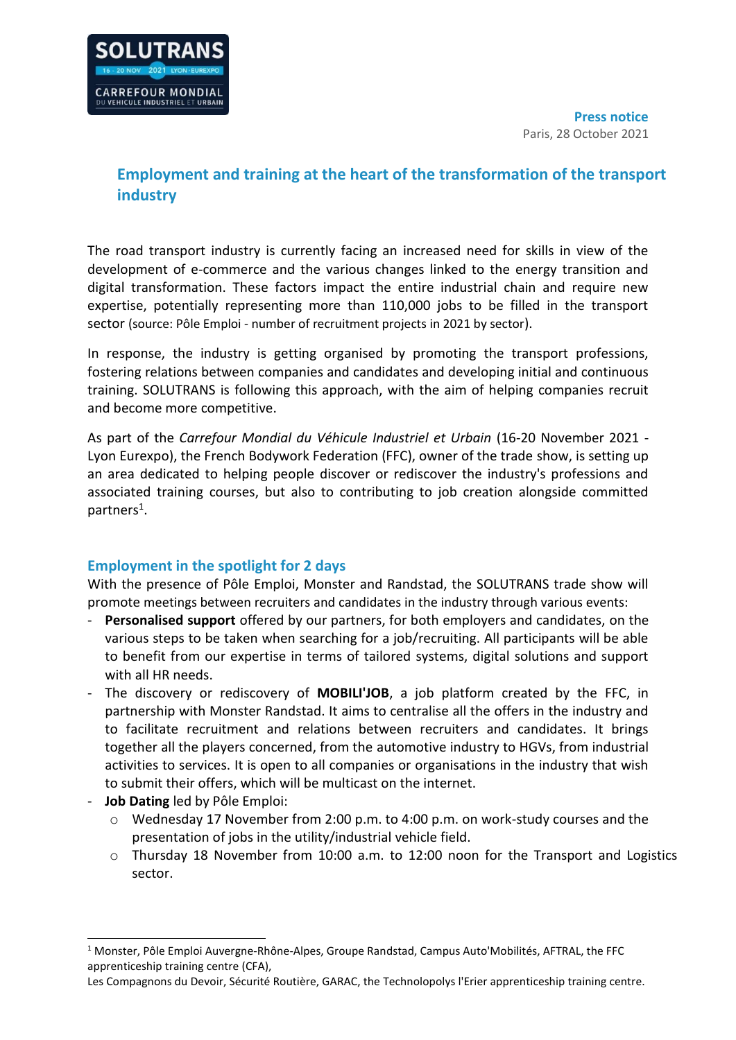

# **Employment and training at the heart of the transformation of the transport industry**

The road transport industry is currently facing an increased need for skills in view of the development of e-commerce and the various changes linked to the energy transition and digital transformation. These factors impact the entire industrial chain and require new expertise, potentially representing more than 110,000 jobs to be filled in the transport sector (source: Pôle Emploi - number of recruitment projects in 2021 by sector).

In response, the industry is getting organised by promoting the transport professions, fostering relations between companies and candidates and developing initial and continuous training. SOLUTRANS is following this approach, with the aim of helping companies recruit and become more competitive.

As part of the *Carrefour Mondial du Véhicule Industriel et Urbain* (16-20 November 2021 - Lyon Eurexpo), the French Bodywork Federation (FFC), owner of the trade show, is setting up an area dedicated to helping people discover or rediscover the industry's professions and associated training courses, but also to contributing to job creation alongside committed partners<sup>1</sup>.

## **Employment in the spotlight for 2 days**

With the presence of Pôle Emploi, Monster and Randstad, the SOLUTRANS trade show will promote meetings between recruiters and candidates in the industry through various events:

- **Personalised support** offered by our partners, for both employers and candidates, on the various steps to be taken when searching for a job/recruiting. All participants will be able to benefit from our expertise in terms of tailored systems, digital solutions and support with all HR needs.
- The discovery or rediscovery of **MOBILI'JOB**, a job platform created by the FFC, in partnership with Monster Randstad. It aims to centralise all the offers in the industry and to facilitate recruitment and relations between recruiters and candidates. It brings together all the players concerned, from the automotive industry to HGVs, from industrial activities to services. It is open to all companies or organisations in the industry that wish to submit their offers, which will be multicast on the internet.
- **Job Dating** led by Pôle Emploi:
	- $\circ$  Wednesday 17 November from 2:00 p.m. to 4:00 p.m. on work-study courses and the presentation of jobs in the utility/industrial vehicle field.
	- $\circ$  Thursday 18 November from 10:00 a.m. to 12:00 noon for the Transport and Logistics sector.

<sup>1</sup> Monster, Pôle Emploi Auvergne-Rhône-Alpes, Groupe Randstad, Campus Auto'Mobilités, AFTRAL, the FFC apprenticeship training centre (CFA),

Les Compagnons du Devoir, Sécurité Routière, GARAC, the Technolopolys l'Erier apprenticeship training centre.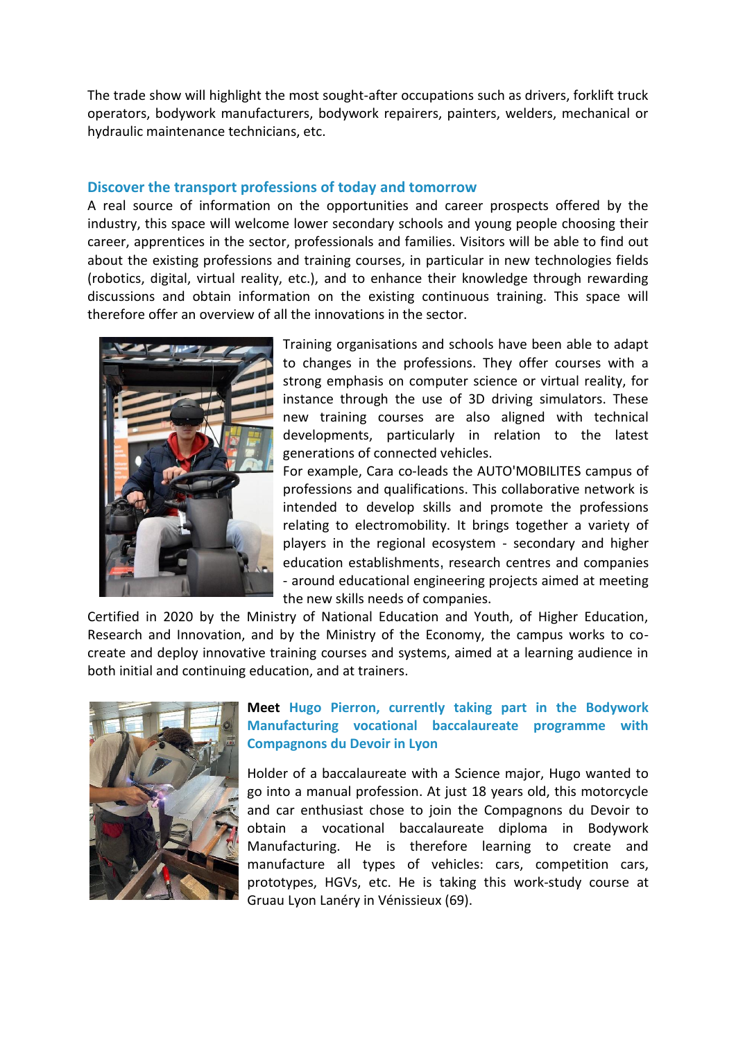The trade show will highlight the most sought-after occupations such as drivers, forklift truck operators, bodywork manufacturers, bodywork repairers, painters, welders, mechanical or hydraulic maintenance technicians, etc.

## **Discover the transport professions of today and tomorrow**

A real source of information on the opportunities and career prospects offered by the industry, this space will welcome lower secondary schools and young people choosing their career, apprentices in the sector, professionals and families. Visitors will be able to find out about the existing professions and training courses, in particular in new technologies fields (robotics, digital, virtual reality, etc.), and to enhance their knowledge through rewarding discussions and obtain information on the existing continuous training. This space will therefore offer an overview of all the innovations in the sector.



Training organisations and schools have been able to adapt to changes in the professions. They offer courses with a strong emphasis on computer science or virtual reality, for instance through the use of 3D driving simulators. These new training courses are also aligned with technical developments, particularly in relation to the latest generations of connected vehicles.

For example, Cara co-leads the AUTO'MOBILITES campus of professions and qualifications. This collaborative network is intended to develop skills and promote the professions relating to electromobility. It brings together a variety of players in the regional ecosystem - secondary and higher education establishments, research centres and companies - around educational engineering projects aimed at meeting the new skills needs of companies.

Certified in 2020 by the Ministry of National Education and Youth, of Higher Education, Research and Innovation, and by the Ministry of the Economy, the campus works to cocreate and deploy innovative training courses and systems, aimed at a learning audience in both initial and continuing education, and at trainers.



## **Meet Hugo Pierron, currently taking part in the Bodywork Manufacturing vocational baccalaureate programme with Compagnons du Devoir in Lyon**

Holder of a baccalaureate with a Science major, Hugo wanted to go into a manual profession. At just 18 years old, this motorcycle and car enthusiast chose to join the Compagnons du Devoir to obtain a vocational baccalaureate diploma in Bodywork Manufacturing. He is therefore learning to create and manufacture all types of vehicles: cars, competition cars, prototypes, HGVs, etc. He is taking this work-study course at Gruau Lyon Lanéry in Vénissieux (69).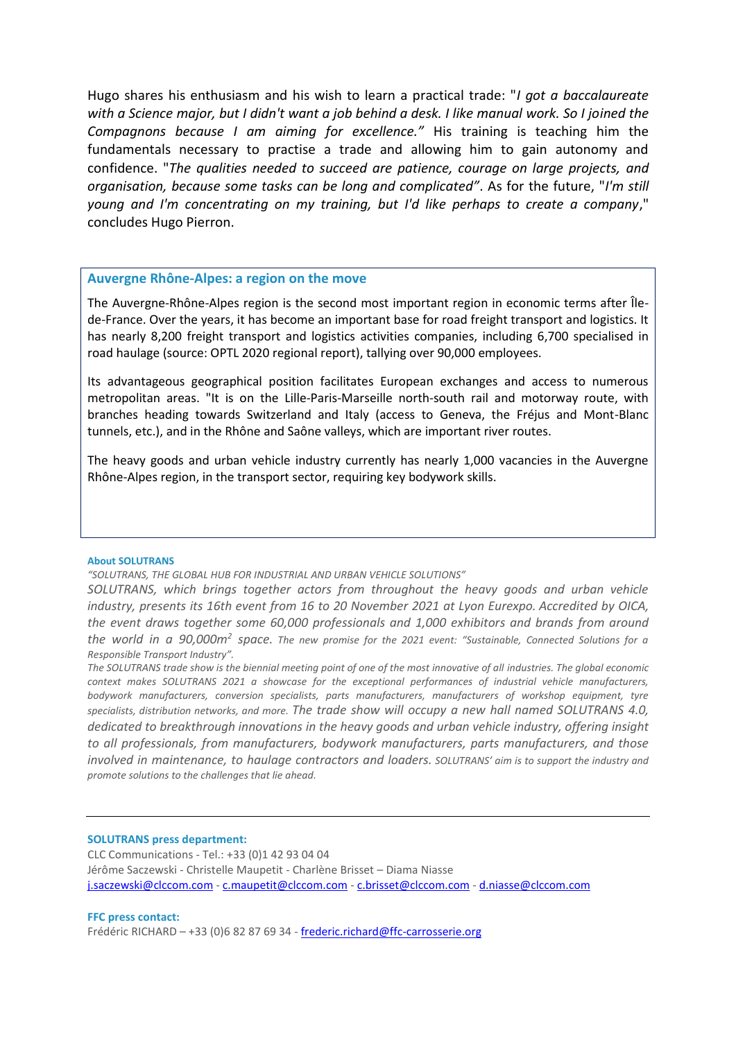Hugo shares his enthusiasm and his wish to learn a practical trade: "*I got a baccalaureate with a Science major, but I didn't want a job behind a desk. I like manual work. So I joined the Compagnons because I am aiming for excellence."* His training is teaching him the fundamentals necessary to practise a trade and allowing him to gain autonomy and confidence. "*The qualities needed to succeed are patience, courage on large projects, and organisation, because some tasks can be long and complicated"*. As for the future, "*I'm still young and I'm concentrating on my training, but I'd like perhaps to create a company*," concludes Hugo Pierron.

### **Auvergne Rhône-Alpes: a region on the move**

The Auvergne-Rhône-Alpes region is the second most important region in economic terms after Îlede-France. Over the years, it has become an important base for road freight transport and logistics. It has nearly 8,200 freight transport and logistics activities companies, including 6,700 specialised in road haulage (source: OPTL 2020 regional report), tallying over 90,000 employees.

Its advantageous geographical position facilitates European exchanges and access to numerous metropolitan areas. "It is on the Lille-Paris-Marseille north-south rail and motorway route, with branches heading towards Switzerland and Italy (access to Geneva, the Fréjus and Mont-Blanc tunnels, etc.), and in the Rhône and Saône valleys, which are important river routes.

The heavy goods and urban vehicle industry currently has nearly 1,000 vacancies in the Auvergne Rhône-Alpes region, in the transport sector, requiring key bodywork skills.

### **About SOLUTRANS**

*"SOLUTRANS, THE GLOBAL HUB FOR INDUSTRIAL AND URBAN VEHICLE SOLUTIONS"*

*SOLUTRANS, which brings together actors from throughout the heavy goods and urban vehicle industry, presents its 16th event from 16 to 20 November 2021 at Lyon Eurexpo. Accredited by OICA, the event draws together some 60,000 professionals and 1,000 exhibitors and brands from around the world in a 90,000m<sup>2</sup> space. The new promise for the 2021 event: "Sustainable, Connected Solutions for a Responsible Transport Industry".*

*The SOLUTRANS trade show is the biennial meeting point of one of the most innovative of all industries. The global economic context makes SOLUTRANS 2021 a showcase for the exceptional performances of industrial vehicle manufacturers, bodywork manufacturers, conversion specialists, parts manufacturers, manufacturers of workshop equipment, tyre specialists, distribution networks, and more. The trade show will occupy a new hall named SOLUTRANS 4.0, dedicated to breakthrough innovations in the heavy goods and urban vehicle industry, offering insight to all professionals, from manufacturers, bodywork manufacturers, parts manufacturers, and those involved in maintenance, to haulage contractors and loaders. SOLUTRANS' aim is to support the industry and promote solutions to the challenges that lie ahead.*

### **SOLUTRANS press department:**

CLC Communications - Tel.: +33 (0)1 42 93 04 04 Jérôme Saczewski - Christelle Maupetit - Charlène Brisset – Diama Niasse [j.saczewski@clccom.com](mailto:j.saczewski@clccom.com) - [c.maupetit@clccom.com](mailto:c.maupetit@clccom.com) - [c.brisset@clccom.com](mailto:c.brisset@clccom.com) - [d.niasse@clccom.com](mailto:d.niasse@clccom.com)

### **FFC press contact:**

Frédéric RICHARD – +33 (0)6 82 87 69 34 - [frederic.richard@ffc-carrosserie.org](mailto:frederic.richard@ffc-carrosserie.org)